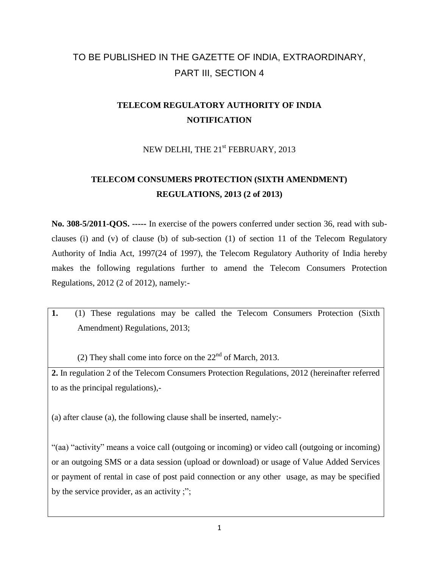## TO BE PUBLISHED IN THE GAZETTE OF INDIA, EXTRAORDINARY, PART III, SECTION 4

## **TELECOM REGULATORY AUTHORITY OF INDIA NOTIFICATION**

### NEW DELHI, THE 21<sup>st</sup> FEBRUARY, 2013

## **TELECOM CONSUMERS PROTECTION (SIXTH AMENDMENT) REGULATIONS, 2013 (2 of 2013)**

**No. 308-5/2011-QOS. -----** In exercise of the powers conferred under section 36, read with subclauses (i) and (v) of clause (b) of sub-section (1) of section 11 of the Telecom Regulatory Authority of India Act, 1997(24 of 1997), the Telecom Regulatory Authority of India hereby makes the following regulations further to amend the Telecom Consumers Protection Regulations, 2012 (2 of 2012), namely:-

**1.** (1) These regulations may be called the Telecom Consumers Protection (Sixth Amendment) Regulations, 2013;

(2) They shall come into force on the  $22<sup>nd</sup>$  of March, 2013.

**2.** In regulation 2 of the Telecom Consumers Protection Regulations, 2012 (hereinafter referred to as the principal regulations),-

(a) after clause (a), the following clause shall be inserted, namely:-

"(aa) "activity" means a voice call (outgoing or incoming) or video call (outgoing or incoming) or an outgoing SMS or a data session (upload or download) or usage of Value Added Services or payment of rental in case of post paid connection or any other usage, as may be specified by the service provider, as an activity  $\dddot{ }$ ;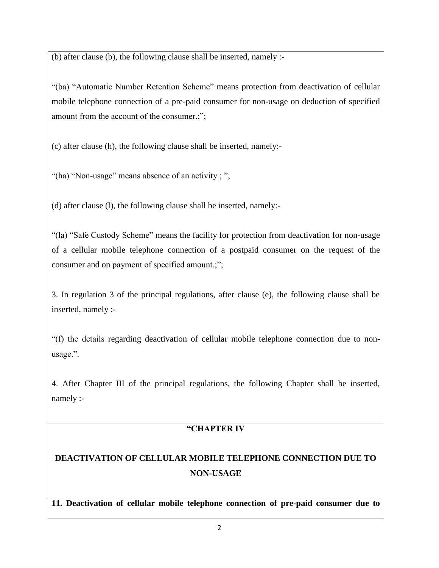(b) after clause (b), the following clause shall be inserted, namely :-

―(ba) ―Automatic Number Retention Scheme‖ means protection from deactivation of cellular mobile telephone connection of a pre-paid consumer for non-usage on deduction of specified amount from the account of the consumer.;";

(c) after clause (h), the following clause shall be inserted, namely:-

"(ha) "Non-usage" means absence of an activity ; ";

(d) after clause (l), the following clause shall be inserted, namely:-

―(la) ―Safe Custody Scheme‖ means the facility for protection from deactivation for non-usage of a cellular mobile telephone connection of a postpaid consumer on the request of the consumer and on payment of specified amount.;";

3. In regulation 3 of the principal regulations, after clause (e), the following clause shall be inserted, namely :-

―(f) the details regarding deactivation of cellular mobile telephone connection due to nonusage.".

4. After Chapter III of the principal regulations, the following Chapter shall be inserted, namely :-

### **"CHAPTER IV**

# **DEACTIVATION OF CELLULAR MOBILE TELEPHONE CONNECTION DUE TO NON-USAGE**

**11. Deactivation of cellular mobile telephone connection of pre-paid consumer due to**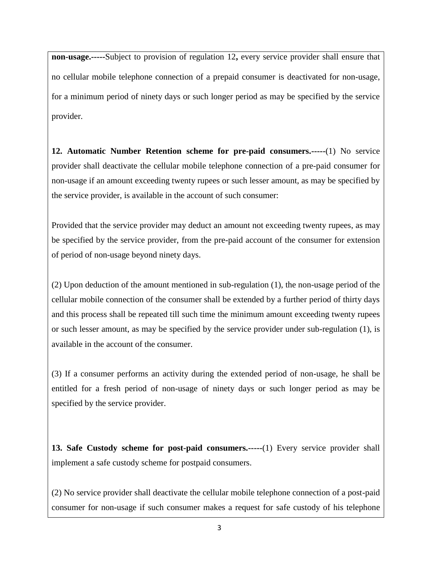**non-usage.-----**Subject to provision of regulation 12, every service provider shall ensure that no cellular mobile telephone connection of a prepaid consumer is deactivated for non-usage, for a minimum period of ninety days or such longer period as may be specified by the service provider.

**12. Automatic Number Retention scheme for pre-paid consumers.-----**(1) No service provider shall deactivate the cellular mobile telephone connection of a pre-paid consumer for non-usage if an amount exceeding twenty rupees or such lesser amount, as may be specified by the service provider, is available in the account of such consumer:

Provided that the service provider may deduct an amount not exceeding twenty rupees, as may be specified by the service provider, from the pre-paid account of the consumer for extension of period of non-usage beyond ninety days.

(2) Upon deduction of the amount mentioned in sub-regulation (1), the non-usage period of the cellular mobile connection of the consumer shall be extended by a further period of thirty days and this process shall be repeated till such time the minimum amount exceeding twenty rupees or such lesser amount, as may be specified by the service provider under sub-regulation (1), is available in the account of the consumer.

(3) If a consumer performs an activity during the extended period of non-usage, he shall be entitled for a fresh period of non-usage of ninety days or such longer period as may be specified by the service provider.

**13. Safe Custody scheme for post-paid consumers.-----**(1) Every service provider shall implement a safe custody scheme for postpaid consumers.

(2) No service provider shall deactivate the cellular mobile telephone connection of a post-paid consumer for non-usage if such consumer makes a request for safe custody of his telephone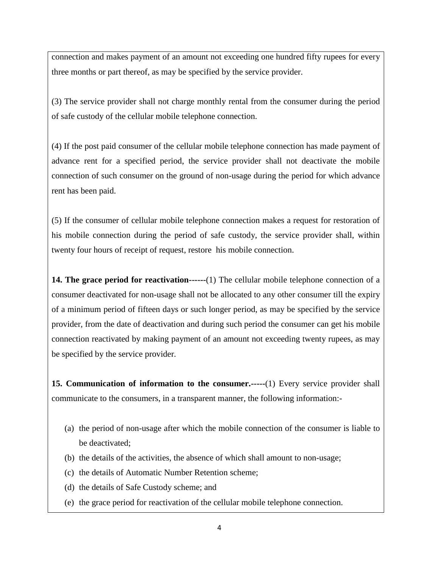connection and makes payment of an amount not exceeding one hundred fifty rupees for every three months or part thereof, as may be specified by the service provider.

(3) The service provider shall not charge monthly rental from the consumer during the period of safe custody of the cellular mobile telephone connection.

(4) If the post paid consumer of the cellular mobile telephone connection has made payment of advance rent for a specified period, the service provider shall not deactivate the mobile connection of such consumer on the ground of non-usage during the period for which advance rent has been paid.

(5) If the consumer of cellular mobile telephone connection makes a request for restoration of his mobile connection during the period of safe custody, the service provider shall, within twenty four hours of receipt of request, restore his mobile connection.

**14. The grace period for reactivation------**(1) The cellular mobile telephone connection of a consumer deactivated for non-usage shall not be allocated to any other consumer till the expiry of a minimum period of fifteen days or such longer period, as may be specified by the service provider, from the date of deactivation and during such period the consumer can get his mobile connection reactivated by making payment of an amount not exceeding twenty rupees, as may be specified by the service provider.

**15. Communication of information to the consumer.**-----(1) Every service provider shall communicate to the consumers, in a transparent manner, the following information:-

- (a) the period of non-usage after which the mobile connection of the consumer is liable to be deactivated;
- (b) the details of the activities, the absence of which shall amount to non-usage;
- (c) the details of Automatic Number Retention scheme;
- (d) the details of Safe Custody scheme; and
- (e) the grace period for reactivation of the cellular mobile telephone connection.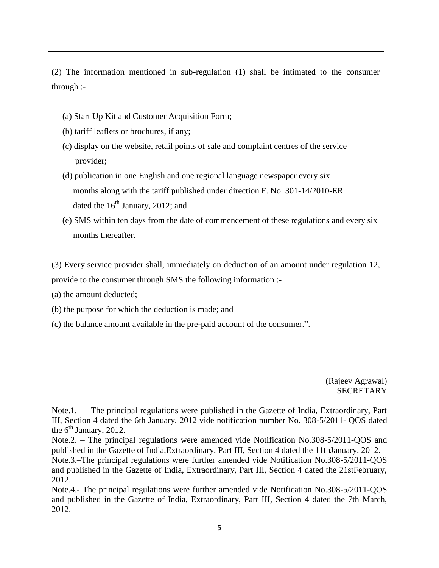(2) The information mentioned in sub-regulation (1) shall be intimated to the consumer through :-

- (a) Start Up Kit and Customer Acquisition Form;
- (b) tariff leaflets or brochures, if any;
- (c) display on the website, retail points of sale and complaint centres of the service provider;
- (d) publication in one English and one regional language newspaper every six months along with the tariff published under direction F. No. 301-14/2010-ER dated the  $16<sup>th</sup>$  January, 2012; and
- (e) SMS within ten days from the date of commencement of these regulations and every six months thereafter.

(3) Every service provider shall, immediately on deduction of an amount under regulation 12, provide to the consumer through SMS the following information :-

- (a) the amount deducted;
- (b) the purpose for which the deduction is made; and
- (c) the balance amount available in the pre-paid account of the consumer.‖.

(Rajeev Agrawal) **SECRETARY** 

Note.1. — The principal regulations were published in the Gazette of India, Extraordinary, Part III, Section 4 dated the 6th January, 2012 vide notification number No. 308-5/2011- QOS dated the  $6<sup>th</sup>$  January, 2012.

Note.2. – The principal regulations were amended vide Notification No.308-5/2011-QOS and published in the Gazette of India,Extraordinary, Part III, Section 4 dated the 11thJanuary, 2012.

Note.3.–The principal regulations were further amended vide Notification No.308-5/2011-QOS and published in the Gazette of India, Extraordinary, Part III, Section 4 dated the 21stFebruary, 2012.

Note.4.- The principal regulations were further amended vide Notification No.308-5/2011-QOS and published in the Gazette of India, Extraordinary, Part III, Section 4 dated the 7th March, 2012.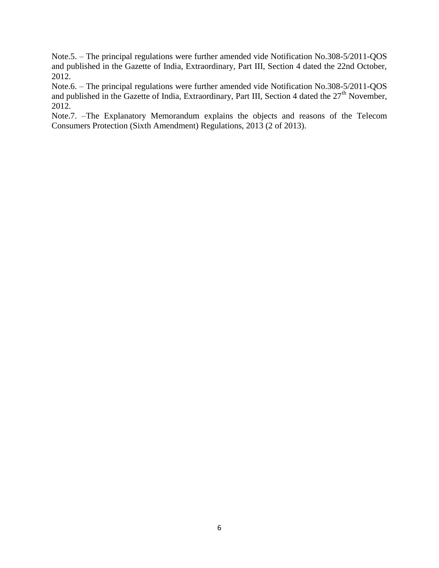Note.5. – The principal regulations were further amended vide Notification No.308-5/2011-QOS and published in the Gazette of India, Extraordinary, Part III, Section 4 dated the 22nd October, 2012.

Note.6. – The principal regulations were further amended vide Notification No.308-5/2011-QOS and published in the Gazette of India, Extraordinary, Part III, Section 4 dated the 27<sup>th</sup> November, 2012.

Note.7. –The Explanatory Memorandum explains the objects and reasons of the Telecom Consumers Protection (Sixth Amendment) Regulations, 2013 (2 of 2013).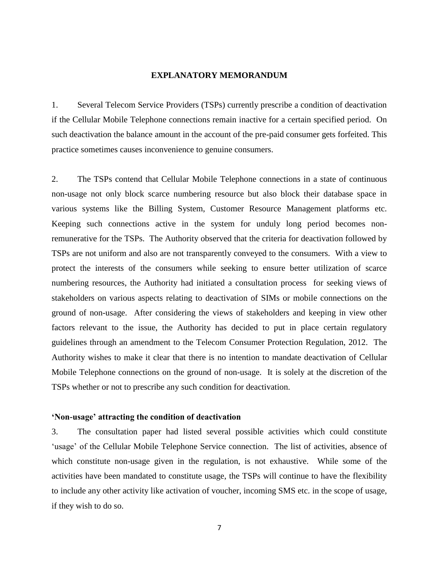#### **EXPLANATORY MEMORANDUM**

1. Several Telecom Service Providers (TSPs) currently prescribe a condition of deactivation if the Cellular Mobile Telephone connections remain inactive for a certain specified period. On such deactivation the balance amount in the account of the pre-paid consumer gets forfeited. This practice sometimes causes inconvenience to genuine consumers.

2. The TSPs contend that Cellular Mobile Telephone connections in a state of continuous non-usage not only block scarce numbering resource but also block their database space in various systems like the Billing System, Customer Resource Management platforms etc. Keeping such connections active in the system for unduly long period becomes nonremunerative for the TSPs. The Authority observed that the criteria for deactivation followed by TSPs are not uniform and also are not transparently conveyed to the consumers. With a view to protect the interests of the consumers while seeking to ensure better utilization of scarce numbering resources, the Authority had initiated a consultation process for seeking views of stakeholders on various aspects relating to deactivation of SIMs or mobile connections on the ground of non-usage. After considering the views of stakeholders and keeping in view other factors relevant to the issue, the Authority has decided to put in place certain regulatory guidelines through an amendment to the Telecom Consumer Protection Regulation, 2012. The Authority wishes to make it clear that there is no intention to mandate deactivation of Cellular Mobile Telephone connections on the ground of non-usage. It is solely at the discretion of the TSPs whether or not to prescribe any such condition for deactivation.

#### **'Non-usage' attracting the condition of deactivation**

3. The consultation paper had listed several possible activities which could constitute ‗usage' of the Cellular Mobile Telephone Service connection. The list of activities, absence of which constitute non-usage given in the regulation, is not exhaustive. While some of the activities have been mandated to constitute usage, the TSPs will continue to have the flexibility to include any other activity like activation of voucher, incoming SMS etc. in the scope of usage, if they wish to do so.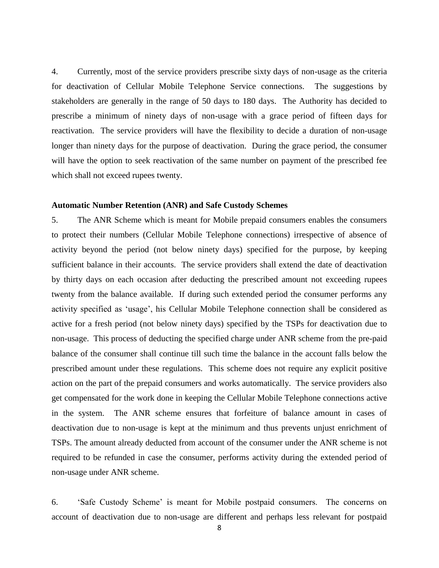4. Currently, most of the service providers prescribe sixty days of non-usage as the criteria for deactivation of Cellular Mobile Telephone Service connections. The suggestions by stakeholders are generally in the range of 50 days to 180 days. The Authority has decided to prescribe a minimum of ninety days of non-usage with a grace period of fifteen days for reactivation. The service providers will have the flexibility to decide a duration of non-usage longer than ninety days for the purpose of deactivation. During the grace period, the consumer will have the option to seek reactivation of the same number on payment of the prescribed fee which shall not exceed rupees twenty.

#### **Automatic Number Retention (ANR) and Safe Custody Schemes**

5. The ANR Scheme which is meant for Mobile prepaid consumers enables the consumers to protect their numbers (Cellular Mobile Telephone connections) irrespective of absence of activity beyond the period (not below ninety days) specified for the purpose, by keeping sufficient balance in their accounts. The service providers shall extend the date of deactivation by thirty days on each occasion after deducting the prescribed amount not exceeding rupees twenty from the balance available. If during such extended period the consumer performs any activity specified as 'usage', his Cellular Mobile Telephone connection shall be considered as active for a fresh period (not below ninety days) specified by the TSPs for deactivation due to non-usage. This process of deducting the specified charge under ANR scheme from the pre-paid balance of the consumer shall continue till such time the balance in the account falls below the prescribed amount under these regulations. This scheme does not require any explicit positive action on the part of the prepaid consumers and works automatically. The service providers also get compensated for the work done in keeping the Cellular Mobile Telephone connections active in the system. The ANR scheme ensures that forfeiture of balance amount in cases of deactivation due to non-usage is kept at the minimum and thus prevents unjust enrichment of TSPs. The amount already deducted from account of the consumer under the ANR scheme is not required to be refunded in case the consumer, performs activity during the extended period of non-usage under ANR scheme.

6. ‗Safe Custody Scheme' is meant for Mobile postpaid consumers. The concerns on account of deactivation due to non-usage are different and perhaps less relevant for postpaid